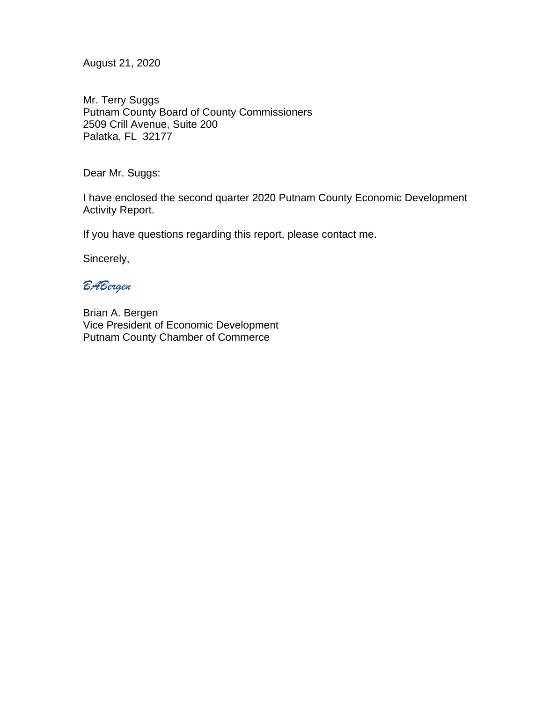August 21, 2020

Mr. Terry Suggs Putnam County Board of County Commissioners 2509 Crill Avenue, Suite 200 Palatka, FL 32177

Dear Mr. Suggs:

I have enclosed the second quarter 2020 Putnam County Economic Development Activity Report.

If you have questions regarding this report, please contact me.

Sincerely,

## *BABergen*

Brian A. Bergen Vice President of Economic Development Putnam County Chamber of Commerce